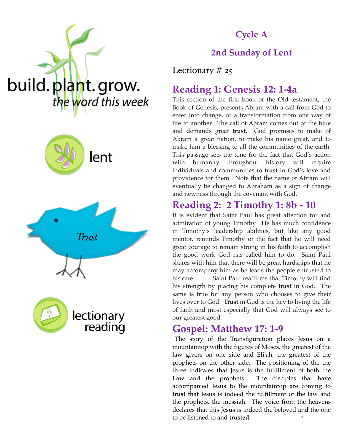





reading



**Cycle A**

## **2nd Sunday of Lent**

Lectionary  $# 25$ 

## **Reading 1: Genesis 12: 1-4a**

This section of the first book of the Old testament, the Book of Genesis, presents Abram with a call from God to enter into change, or a transformation from one way of life to another. The call of Abram comes out of the blue and demands great **trust.** God promises to make of Abram a great nation, to make his name great, and to make him a blessing to all the communities of the earth. This passage sets the tone for the fact that God's action with humanity throughout history will require individuals and communities to **trust** in God's love and providence for them. Note that the name of Abram will eventually be changed to Abraham as a sign of change and newness through the covenant with God.

## **Reading 2: 2 Timothy 1: 8b - 10**

It is evident that Saint Paul has great affection for and admiration of young Timothy. He has much confidence in Timothy's leadership abilities, but like any good mentor, reminds Timothy of the fact that he will need great courage to remain strong in his faith to accomplish the good work God has called him to do. Saint Paul shares with him that there will be great hardships that he may accompany him as he leads the people entrusted to his care. Saint Paul reaffirms that Timothy will find his strength by placing his complete **trust** in God. The same is true for any person who chooses to give their lives over to God. **Trust** in God is the key to living the life of faith and most especially that God will always see to our greatest good.

### **Gospel: Matthew 17: 1-9**

1 The story of the Transfiguration places Jesus on a mountaintop with the figures of Moses, the greatest of the law givers on one side and Elijah, the greatest of the prophets on the other side. The positioning of the the three indicates that Jesus is the fulfillment of both the Law and the prophets. The disciples that have accompanied Jesus to the mountaintop are coming to **trust** that Jesus is indeed the fulfillment of the law and the prophets, the messiah. The voice from the heavens declares that this Jesus is indeed the beloved and the one to be listened to and **trusted.**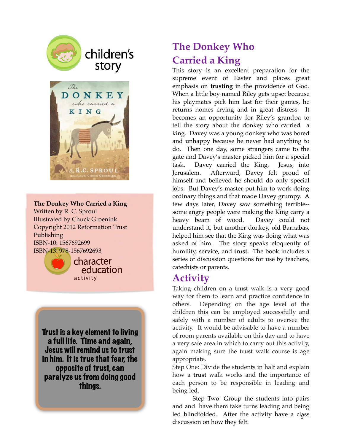

# children's story



#### **The Donkey Who Carried a King** Written by R. C. Sproul Illustrated by Chuck Groenink Copyright 2012 Reformation Trust Publishing ISBN-10: 1567692699 ISBN-13: 978-1567692693



character education activity

Trust is a key element to living a full life. Time and again, Jesus will remind us to trust in him. It is true that fear, the opposite of trust, can paralyze us from doing good things.

# **The Donkey Who Carried a King**

This story is an excellent preparation for the supreme event of Easter and places great emphasis on **trusting** in the providence of God. When a little boy named Riley gets upset because his playmates pick him last for their games, he returns homes crying and in great distress. It becomes an opportunity for Riley's grandpa to tell the story about the donkey who carried a king. Davey was a young donkey who was bored and unhappy because he never had anything to do. Then one day, some strangers came to the gate and Davey's master picked him for a special task. Davey carried the King, Jesus, into Jerusalem. Afterward, Davey felt proud of himself and believed he should do only special jobs. But Davey's master put him to work doing ordinary things and that made Davey grumpy. A few days later, Davey saw something terrible- some angry people were making the King carry a heavy beam of wood. Davey could not understand it, but another donkey, old Barnabas, helped him see that the King was doing what was asked of him. The story speaks eloquently of humility, service, and **trust.** The book includes a series of discussion questions for use by teachers, catechists or parents.

## **Activity**

Taking children on a **trust** walk is a very good way for them to learn and practice confidence in others. Depending on the age level of the children this can be employed successfully and safely with a number of adults to oversee the activity. It would be advisable to have a number of room parents available on this day and to have a very safe area in which to carry out this activity, again making sure the **trust** walk course is age appropriate.

Step One: Divide the students in half and explain how a **trust** walk works and the importance of each person to be responsible in leading and being led.

led blindfolded. After the activity have a class Step Two: Group the students into pairs and and have them take turns leading and being discussion on how they felt.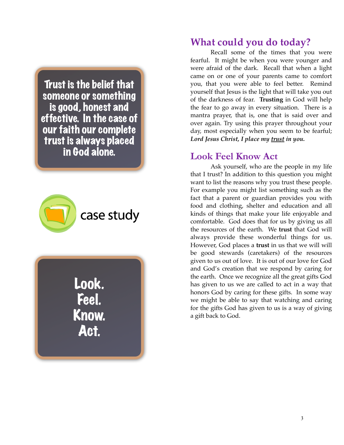Trust is the belief that someone or something is good, honest and effective. In the case of our faith our complete trust is always placed in God alone.



Look. Feel. Know. Act.

## **What could you do today?**

Recall some of the times that you were fearful. It might be when you were younger and were afraid of the dark. Recall that when a light came on or one of your parents came to comfort you, that you were able to feel better. Remind yourself that Jesus is the light that will take you out of the darkness of fear. **Trusting** in God will help the fear to go away in every situation. There is a mantra prayer, that is, one that is said over and over again. Try using this prayer throughout your day, most especially when you seem to be fearful; *Lord Jesus Christ, I place my trust in you.*

### **Look Feel Know Act**

 Ask yourself, who are the people in my life that I trust? In addition to this question you might want to list the reasons why you trust these people. For example you might list something such as the fact that a parent or guardian provides you with food and clothing, shelter and education and all kinds of things that make your life enjoyable and comfortable. God does that for us by giving us all the resources of the earth. We **trust** that God will always provide these wonderful things for us. However, God places a **trust** in us that we will will be good stewards (caretakers) of the resources given to us out of love. It is out of our love for God and God's creation that we respond by caring for the earth. Once we recognize all the great gifts God has given to us we are called to act in a way that honors God by caring for these gifts. In some way we might be able to say that watching and caring for the gifts God has given to us is a way of giving a gift back to God.